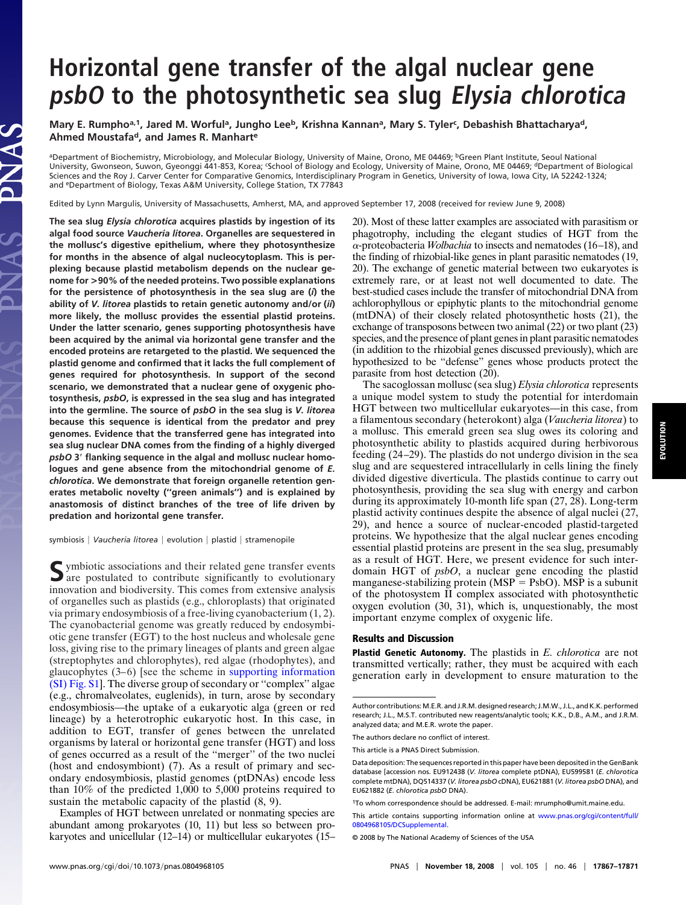## **Horizontal gene transfer of the algal nuclear gene psbO to the photosynthetic sea slug Elysia chlorotica**

Mary E. Rumpho<sup>a, 1</sup>, Jared M. Worful<sup>a</sup>, Jungho Lee<sup>b</sup>, Krishna Kannan<sup>a</sup>, Mary S. Tyler<sup>c</sup>, Debashish Bhattacharya<sup>d</sup>, **Ahmed Moustafad, and James R. Manharte**

ªDepartment of Biochemistry, Microbiology, and Molecular Biology, University of Maine, Orono, ME 04469; <sup>b</sup>Green Plant Institute, Seoul National University, Gwonseon, Suwon, Gyeonggi 441-853, Korea; 'School of Biology and Ecology, University of Maine, Orono, ME 04469; <sup>d</sup>Department of Biological Sciences and the Roy J. Carver Center for Comparative Genomics, Interdisciplinary Program in Genetics, University of Iowa, Iowa City, IA 52242-1324; and eDepartment of Biology, Texas A&M University, College Station, TX 77843

Edited by Lynn Margulis, University of Massachusetts, Amherst, MA, and approved September 17, 2008 (received for review June 9, 2008)

**The sea slug** *Elysia chlorotica* **acquires plastids by ingestion of its algal food source** *Vaucheria litorea***. Organelles are sequestered in the mollusc's digestive epithelium, where they photosynthesize for months in the absence of algal nucleocytoplasm. This is perplexing because plastid metabolism depends on the nuclear genome for >90% of the needed proteins. Two possible explanations for the persistence of photosynthesis in the sea slug are (***i***) the ability of** *V. litorea* **plastids to retain genetic autonomy and/or (***ii***) more likely, the mollusc provides the essential plastid proteins. Under the latter scenario, genes supporting photosynthesis have been acquired by the animal via horizontal gene transfer and the encoded proteins are retargeted to the plastid. We sequenced the plastid genome and confirmed that it lacks the full complement of genes required for photosynthesis. In support of the second scenario, we demonstrated that a nuclear gene of oxygenic photosynthesis,** *psbO***, is expressed in the sea slug and has integrated into the germline. The source of** *psbO* **in the sea slug is** *V. litorea* **because this sequence is identical from the predator and prey genomes. Evidence that the transferred gene has integrated into sea slug nuclear DNA comes from the finding of a highly diverged** *psbO* **3 flanking sequence in the algal and mollusc nuclear homologues and gene absence from the mitochondrial genome of** *E. chlorotica***. We demonstrate that foreign organelle retention generates metabolic novelty (''green animals'') and is explained by anastomosis of distinct branches of the tree of life driven by predation and horizontal gene transfer.**

JAS

symbiosis | Vaucheria litorea | evolution | plastid | stramenopile

Symbiotic associations and their related gene transfer events<br>are postulated to contribute significantly to evolutionary innovation and biodiversity. This comes from extensive analysis of organelles such as plastids (e.g., chloroplasts) that originated via primary endosymbiosis of a free-living cyanobacterium (1, 2). The cyanobacterial genome was greatly reduced by endosymbiotic gene transfer (EGT) to the host nucleus and wholesale gene loss, giving rise to the primary lineages of plants and green algae (streptophytes and chlorophytes), red algae (rhodophytes), and glaucophytes (3–6) [see the scheme in [supporting information](http://www.pnas.org/cgi/data/0804968105/DCSupplemental/Supplemental_PDF#nameddest=SF1) [\(SI\) Fig. S1\]](http://www.pnas.org/cgi/data/0804968105/DCSupplemental/Supplemental_PDF#nameddest=SF1). The diverse group of secondary or ''complex'' algae (e.g., chromalveolates, euglenids), in turn, arose by secondary endosymbiosis—the uptake of a eukaryotic alga (green or red lineage) by a heterotrophic eukaryotic host. In this case, in addition to EGT, transfer of genes between the unrelated organisms by lateral or horizontal gene transfer (HGT) and loss of genes occurred as a result of the ''merger'' of the two nuclei (host and endosymbiont) (7). As a result of primary and secondary endosymbiosis, plastid genomes (ptDNAs) encode less than 10% of the predicted 1,000 to 5,000 proteins required to sustain the metabolic capacity of the plastid (8, 9).

Examples of HGT between unrelated or nonmating species are abundant among prokaryotes (10, 11) but less so between prokaryotes and unicellular (12–14) or multicellular eukaryotes (15– 20). Most of these latter examples are associated with parasitism or phagotrophy, including the elegant studies of HGT from the -proteobacteria *Wolbachia* to insects and nematodes (16–18), and the finding of rhizobial-like genes in plant parasitic nematodes (19, 20). The exchange of genetic material between two eukaryotes is extremely rare, or at least not well documented to date. The best-studied cases include the transfer of mitochondrial DNA from achlorophyllous or epiphytic plants to the mitochondrial genome (mtDNA) of their closely related photosynthetic hosts (21), the exchange of transposons between two animal (22) or two plant (23) species, and the presence of plant genes in plant parasitic nematodes (in addition to the rhizobial genes discussed previously), which are hypothesized to be ''defense'' genes whose products protect the parasite from host detection (20).

The sacoglossan mollusc (sea slug) *Elysia chlorotica* represents a unique model system to study the potential for interdomain HGT between two multicellular eukaryotes—in this case, from a filamentous secondary (heterokont) alga (*Vaucheria litorea*) to a mollusc. This emerald green sea slug owes its coloring and photosynthetic ability to plastids acquired during herbivorous feeding (24–29). The plastids do not undergo division in the sea slug and are sequestered intracellularly in cells lining the finely divided digestive diverticula. The plastids continue to carry out photosynthesis, providing the sea slug with energy and carbon during its approximately 10-month life span (27, 28). Long-term plastid activity continues despite the absence of algal nuclei (27, 29), and hence a source of nuclear-encoded plastid-targeted proteins. We hypothesize that the algal nuclear genes encoding essential plastid proteins are present in the sea slug, presumably as a result of HGT. Here, we present evidence for such interdomain HGT of *psbO*, a nuclear gene encoding the plastid manganese-stabilizing protein (MSP = PsbO). MSP is a subunit of the photosystem II complex associated with photosynthetic oxygen evolution (30, 31), which is, unquestionably, the most important enzyme complex of oxygenic life.

## **Results and Discussion**

**Plastid Genetic Autonomy.** The plastids in *E. chlorotica* are not transmitted vertically; rather, they must be acquired with each generation early in development to ensure maturation to the

Author contributions:M.E.R. and J.R.M. designed research; J.M.W., J.L., and K.K. performed research; J.L., M.S.T. contributed new reagents/analytic tools; K.K., D.B., A.M., and J.R.M. analyzed data; and M.E.R. wrote the paper.

The authors declare no conflict of interest.

This article is a PNAS Direct Submission.

Data deposition: The sequences reported in this paper have been deposited in the GenBank database [accession nos. EU912438 (*V. litorea* complete ptDNA), EU599581 (*E. chlorotica* complete mtDNA), DQ514337 (*V. litorea psbO* cDNA), EU621881 (*V. litorea psbO* DNA), and EU621882 (*E. chlorotica psbO* DNA).

<sup>1</sup>To whom correspondence should be addressed. E-mail: mrumpho@umit.maine.edu.

This article contains supporting information online at [www.pnas.org/cgi/content/full/](http://www.pnas.org/cgi/content/full/0804968105/DCSupplemental) [0804968105/DCSupplemental.](http://www.pnas.org/cgi/content/full/0804968105/DCSupplemental)

<sup>© 2008</sup> by The National Academy of Sciences of the USA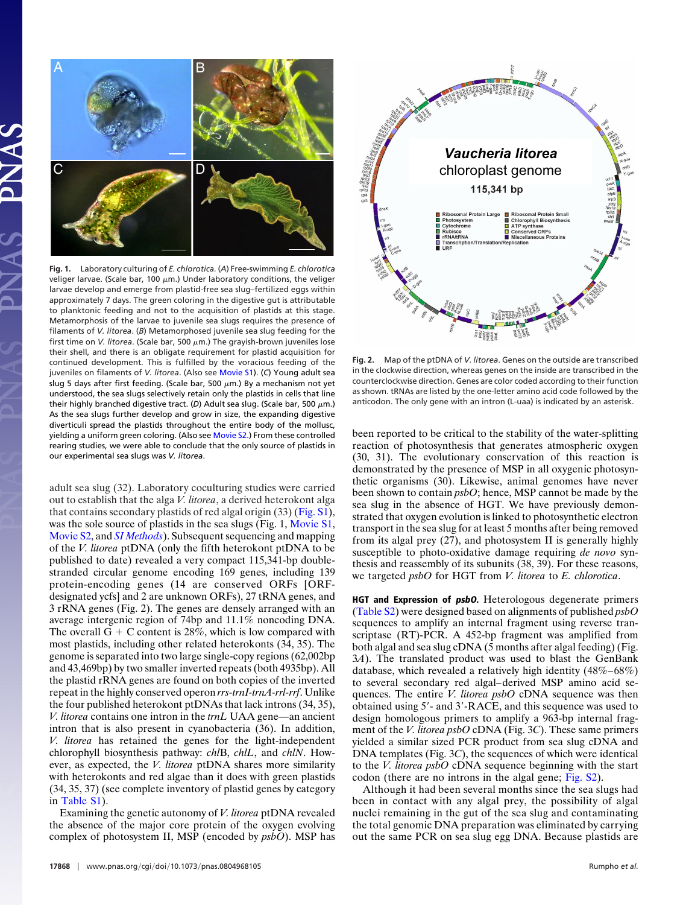

**Fig. 1.** Laboratory culturing of *E. chlorotica.* (*A*) Free-swimming *E. chlorotica* veliger larvae. (Scale bar, 100  $\mu$ m.) Under laboratory conditions, the veliger larvae develop and emerge from plastid-free sea slug–fertilized eggs within approximately 7 days. The green coloring in the digestive gut is attributable to planktonic feeding and not to the acquisition of plastids at this stage. Metamorphosis of the larvae to juvenile sea slugs requires the presence of filaments of *V. litorea*. (*B*) Metamorphosed juvenile sea slug feeding for the first time on *V. litorea*. (Scale bar, 500  $\mu$ m.) The grayish-brown juveniles lose their shell, and there is an obligate requirement for plastid acquisition for continued development. This is fulfilled by the voracious feeding of the juveniles on filaments of *V. litorea*. (Also see [Movie S1\)](http://www.pnas.org/content/vol0/issue2008/images/data/0804968105/DCSupplemental/SM1.mov). (*C*) Young adult sea slug 5 days after first feeding. (Scale bar, 500  $\mu$ m.) By a mechanism not yet understood, the sea slugs selectively retain only the plastids in cells that line their highly branched digestive tract. (D) Adult sea slug. (Scale bar, 500  $\mu$ m.) As the sea slugs further develop and grow in size, the expanding digestive diverticuli spread the plastids throughout the entire body of the mollusc, yielding a uniform green coloring. (Also see [Movie S2.](http://www.pnas.org/content/vol0/issue2008/images/data/0804968105/DCSupplemental/SM2.mov)) From these controlled rearing studies, we were able to conclude that the only source of plastids in our experimental sea slugs was *V. litorea*.

adult sea slug (32). Laboratory coculturing studies were carried out to establish that the alga *V. litorea*, a derived heterokont alga that contains secondary plastids of red algal origin (33) [\(Fig. S1\)](http://www.pnas.org/cgi/data/0804968105/DCSupplemental/Supplemental_PDF#nameddest=SF1), was the sole source of plastids in the sea slugs (Fig. 1, [Movie S1,](http://www.pnas.org/content/vol0/issue2008/images/data/0804968105/DCSupplemental/SM1.mov) [Movie S2,](http://www.pnas.org/content/vol0/issue2008/images/data/0804968105/DCSupplemental/SM1.mov) and *[SI Methods](http://www.pnas.org/cgi/data/0804968105/DCSupplemental/Supplemental_PDF#nameddest=STXT)*). Subsequent sequencing and mapping of the *V. litorea* ptDNA (only the fifth heterokont ptDNA to be published to date) revealed a very compact 115,341-bp doublestranded circular genome encoding 169 genes, including 139 protein-encoding genes (14 are conserved ORFs [ORFdesignated ycfs] and 2 are unknown ORFs), 27 tRNA genes, and 3 rRNA genes (Fig. 2). The genes are densely arranged with an average intergenic region of 74bp and 11.1% noncoding DNA. The overall  $G + C$  content is 28%, which is low compared with most plastids, including other related heterokonts (34, 35). The genome is separated into two large single-copy regions (62,002bp and 43,469bp) by two smaller inverted repeats (both 4935bp). All the plastid rRNA genes are found on both copies of the inverted repeat in the highly conserved operon *rrs-trnI-trnA-rrl-rrf*. Unlike the four published heterokont ptDNAs that lack introns (34, 35), *V. litorea* contains one intron in the *trnL* UAA gene—an ancient intron that is also present in cyanobacteria (36). In addition, *V. litorea* has retained the genes for the light-independent chlorophyll biosynthesis pathway: *chl*B, *chlL*, and *chlN*. However, as expected, the *V. litorea* ptDNA shares more similarity with heterokonts and red algae than it does with green plastids (34, 35, 37) (see complete inventory of plastid genes by category in [Table S1\)](http://www.pnas.org/cgi/data/0804968105/DCSupplemental/Supplemental_PDF#nameddest=ST1).

Examining the genetic autonomy of *V. litorea* ptDNA revealed the absence of the major core protein of the oxygen evolving complex of photosystem II, MSP (encoded by *psbO*). MSP has



**Fig. 2.** Map of the ptDNA of *V. litorea*. Genes on the outside are transcribed in the clockwise direction, whereas genes on the inside are transcribed in the counterclockwise direction. Genes are color coded according to their function as shown. tRNAs are listed by the one-letter amino acid code followed by the anticodon. The only gene with an intron (L-uaa) is indicated by an asterisk.

been reported to be critical to the stability of the water-splitting reaction of photosynthesis that generates atmospheric oxygen (30, 31). The evolutionary conservation of this reaction is demonstrated by the presence of MSP in all oxygenic photosynthetic organisms (30). Likewise, animal genomes have never been shown to contain *psbO*; hence, MSP cannot be made by the sea slug in the absence of HGT. We have previously demonstrated that oxygen evolution is linked to photosynthetic electron transport in the sea slug for at least 5 months after being removed from its algal prey (27), and photosystem II is generally highly susceptible to photo-oxidative damage requiring *de novo* synthesis and reassembly of its subunits (38, 39). For these reasons, we targeted *psbO* for HGT from *V. litorea* to *E. chlorotica*.

**HGT and Expression of psbO.** Heterologous degenerate primers [\(Table S2\)](http://www.pnas.org/cgi/data/0804968105/DCSupplemental/Supplemental_PDF#nameddest=ST2) were designed based on alignments of published *psbO* sequences to amplify an internal fragment using reverse transcriptase (RT)-PCR. A 452-bp fragment was amplified from both algal and sea slug cDNA (5 months after algal feeding) (Fig. 3*A*). The translated product was used to blast the GenBank database, which revealed a relatively high identity (48%–68%) to several secondary red algal–derived MSP amino acid sequences. The entire *V. litorea psbO* cDNA sequence was then obtained using 5'- and 3'-RACE, and this sequence was used to design homologous primers to amplify a 963-bp internal fragment of the *V. litorea psbO* cDNA (Fig. 3*C*). These same primers yielded a similar sized PCR product from sea slug cDNA and DNA templates (Fig. 3*C*), the sequences of which were identical to the *V. litorea psbO* cDNA sequence beginning with the start codon (there are no introns in the algal gene; [Fig. S2\)](http://www.pnas.org/cgi/data/0804968105/DCSupplemental/Supplemental_PDF#nameddest=SF2).

Although it had been several months since the sea slugs had been in contact with any algal prey, the possibility of algal nuclei remaining in the gut of the sea slug and contaminating the total genomic DNA preparation was eliminated by carrying out the same PCR on sea slug egg DNA. Because plastids are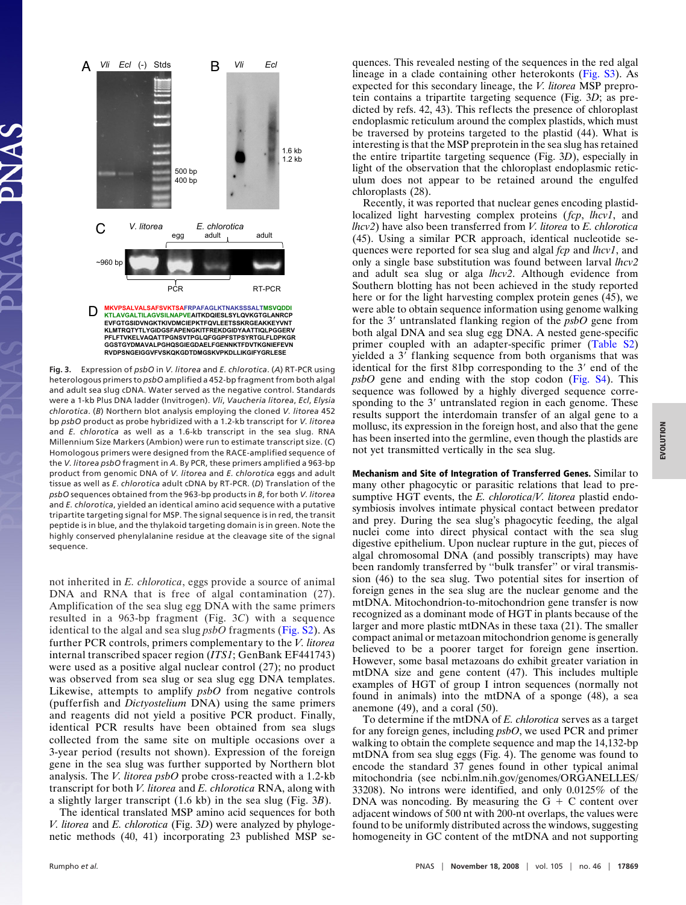

**Fig. 3.** Expression of *psbO* in *V. litorea* and *E. chlorotica*. (*A*) RT-PCR using heterologous primers to *psbO* amplified a 452-bp fragment from both algal and adult sea slug cDNA. Water served as the negative control. Standards were a 1-kb Plus DNA ladder (Invitrogen). *Vli*, *Vaucheria litorea*, *Ecl*, *Elysia chlorotica*. (*B*) Northern blot analysis employing the cloned *V. litorea* 452 bp *psbO* product as probe hybridized with a 1.2-kb transcript for *V. litorea* and *E. chlorotica* as well as a 1.6-kb transcript in the sea slug. RNA Millennium Size Markers (Ambion) were run to estimate transcript size. (*C*) Homologous primers were designed from the RACE-amplified sequence of the *V. litorea psbO* fragment in *A*. By PCR, these primers amplified a 963-bp product from genomic DNA of *V. litorea* and *E. chlorotica* eggs and adult tissue as well as *E. chlorotica* adult cDNA by RT-PCR. (*D*) Translation of the *psbO* sequences obtained from the 963-bp products in *B*, for both *V. litorea* and *E. chlorotica*, yielded an identical amino acid sequence with a putative tripartite targeting signal for MSP. The signal sequence is in red, the transit peptide is in blue, and the thylakoid targeting domain is in green. Note the highly conserved phenylalanine residue at the cleavage site of the signal sequence.

not inherited in *E. chlorotica*, eggs provide a source of animal DNA and RNA that is free of algal contamination (27). Amplification of the sea slug egg DNA with the same primers resulted in a 963-bp fragment (Fig. 3*C*) with a sequence identical to the algal and sea slug *psbO* fragments [\(Fig. S2\)](http://www.pnas.org/cgi/data/0804968105/DCSupplemental/Supplemental_PDF#nameddest=SF2). As further PCR controls, primers complementary to the *V. litorea* internal transcribed spacer region (*ITS1*; GenBank EF441743) were used as a positive algal nuclear control (27); no product was observed from sea slug or sea slug egg DNA templates. Likewise, attempts to amplify *psbO* from negative controls (pufferfish and *Dictyostelium* DNA) using the same primers and reagents did not yield a positive PCR product. Finally, identical PCR results have been obtained from sea slugs collected from the same site on multiple occasions over a 3-year period (results not shown). Expression of the foreign gene in the sea slug was further supported by Northern blot analysis. The *V. litorea psbO* probe cross-reacted with a 1.2-kb transcript for both *V. litorea* and *E. chlorotica* RNA, along with a slightly larger transcript (1.6 kb) in the sea slug (Fig. 3*B*).

The identical translated MSP amino acid sequences for both *V. litorea* and *E. chlorotica* (Fig. 3*D*) were analyzed by phylogenetic methods (40, 41) incorporating 23 published MSP sequences. This revealed nesting of the sequences in the red algal lineage in a clade containing other heterokonts [\(Fig. S3\)](http://www.pnas.org/cgi/data/0804968105/DCSupplemental/Supplemental_PDF#nameddest=SF3). As expected for this secondary lineage, the *V. litorea* MSP preprotein contains a tripartite targeting sequence (Fig. 3*D*; as predicted by refs. 42, 43). This reflects the presence of chloroplast endoplasmic reticulum around the complex plastids, which must be traversed by proteins targeted to the plastid (44). What is interesting is that the MSP preprotein in the sea slug has retained the entire tripartite targeting sequence (Fig. 3*D*), especially in light of the observation that the chloroplast endoplasmic reticulum does not appear to be retained around the engulfed chloroplasts (28).

Recently, it was reported that nuclear genes encoding plastidlocalized light harvesting complex proteins (*fcp*, *lhcv1*, and *lhcv2*) have also been transferred from *V. litorea* to *E. chlorotica* (45). Using a similar PCR approach, identical nucleotide sequences were reported for sea slug and algal *fcp* and *lhcv1*, and only a single base substitution was found between larval *lhcv2* and adult sea slug or alga *lhcv2*. Although evidence from Southern blotting has not been achieved in the study reported here or for the light harvesting complex protein genes (45), we were able to obtain sequence information using genome walking for the 3' untranslated flanking region of the *psbO* gene from both algal DNA and sea slug egg DNA. A nested gene-specific primer coupled with an adapter-specific primer [\(Table S2\)](http://www.pnas.org/cgi/data/0804968105/DCSupplemental/Supplemental_PDF#nameddest=ST2) yielded a 3' flanking sequence from both organisms that was identical for the first 81bp corresponding to the  $3'$  end of the *psbO* gene and ending with the stop codon [\(Fig. S4\)](http://www.pnas.org/cgi/data/0804968105/DCSupplemental/Supplemental_PDF#nameddest=SF4). This sequence was followed by a highly diverged sequence corresponding to the 3' untranslated region in each genome. These results support the interdomain transfer of an algal gene to a mollusc, its expression in the foreign host, and also that the gene has been inserted into the germline, even though the plastids are not yet transmitted vertically in the sea slug.

**Mechanism and Site of Integration of Transferred Genes.** Similar to many other phagocytic or parasitic relations that lead to presumptive HGT events, the *E. chlorotica*/*V. litorea* plastid endosymbiosis involves intimate physical contact between predator and prey. During the sea slug's phagocytic feeding, the algal nuclei come into direct physical contact with the sea slug digestive epithelium. Upon nuclear rupture in the gut, pieces of algal chromosomal DNA (and possibly transcripts) may have been randomly transferred by ''bulk transfer'' or viral transmission (46) to the sea slug. Two potential sites for insertion of foreign genes in the sea slug are the nuclear genome and the mtDNA. Mitochondrion-to-mitochondrion gene transfer is now recognized as a dominant mode of HGT in plants because of the larger and more plastic mtDNAs in these taxa (21). The smaller compact animal or metazoan mitochondrion genome is generally believed to be a poorer target for foreign gene insertion. However, some basal metazoans do exhibit greater variation in mtDNA size and gene content (47). This includes multiple examples of HGT of group I intron sequences (normally not found in animals) into the mtDNA of a sponge (48), a sea anemone (49), and a coral (50).

To determine if the mtDNA of *E. chlorotica* serves as a target for any foreign genes, including *psbO*, we used PCR and primer walking to obtain the complete sequence and map the 14,132-bp mtDNA from sea slug eggs (Fig. 4). The genome was found to encode the standard 37 genes found in other typical animal mitochondria (see ncbi.nlm.nih.gov/genomes/ORGANELLES/ 33208). No introns were identified, and only 0.0125% of the DNA was noncoding. By measuring the  $G + C$  content over adjacent windows of 500 nt with 200-nt overlaps, the values were found to be uniformly distributed across the windows, suggesting homogeneity in GC content of the mtDNA and not supporting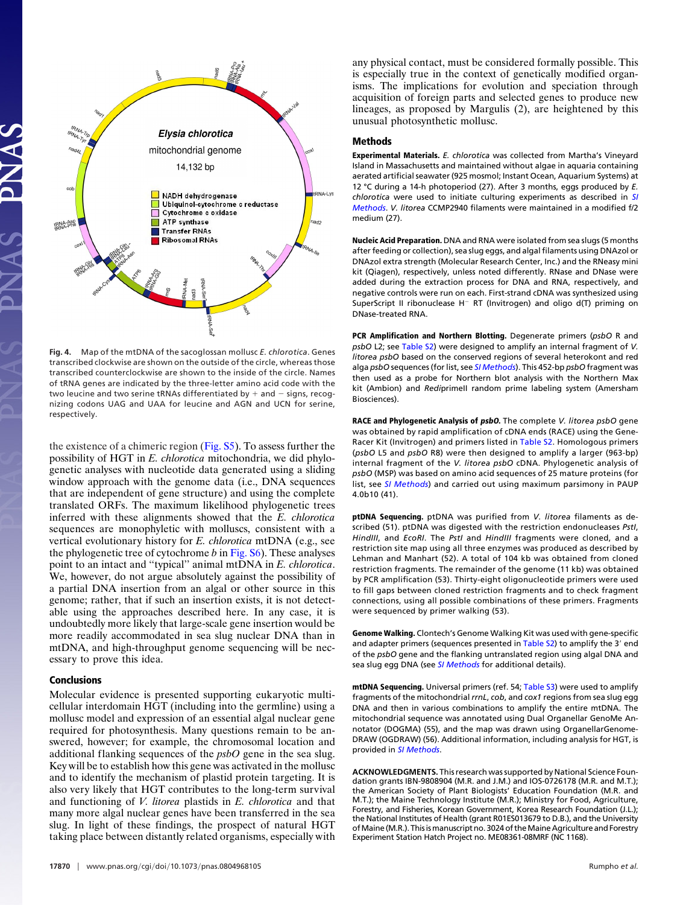

**Fig. 4.** Map of the mtDNA of the sacoglossan mollusc *E. chlorotica*. Genes transcribed clockwise are shown on the outside of the circle, whereas those transcribed counterclockwise are shown to the inside of the circle. Names of tRNA genes are indicated by the three-letter amino acid code with the two leucine and two serine  ${\tt tRNAs}$  differentiated by  $+$  and  $-$  signs, recognizing codons UAG and UAA for leucine and AGN and UCN for serine, respectively.

the existence of a chimeric region [\(Fig. S5\)](http://www.pnas.org/cgi/data/0804968105/DCSupplemental/Supplemental_PDF#nameddest=SF5). To assess further the possibility of HGT in *E. chlorotica* mitochondria, we did phylogenetic analyses with nucleotide data generated using a sliding window approach with the genome data (i.e., DNA sequences that are independent of gene structure) and using the complete translated ORFs. The maximum likelihood phylogenetic trees inferred with these alignments showed that the *E. chlorotica* sequences are monophyletic with molluscs, consistent with a vertical evolutionary history for *E. chlorotica* mtDNA (e.g., see the phylogenetic tree of cytochrome *b* in [Fig. S6\)](http://www.pnas.org/cgi/data/0804968105/DCSupplemental/Supplemental_PDF#nameddest=SF6). These analyses point to an intact and ''typical'' animal mtDNA in *E. chlorotica*. We, however, do not argue absolutely against the possibility of a partial DNA insertion from an algal or other source in this genome; rather, that if such an insertion exists, it is not detectable using the approaches described here. In any case, it is undoubtedly more likely that large-scale gene insertion would be more readily accommodated in sea slug nuclear DNA than in mtDNA, and high-throughput genome sequencing will be necessary to prove this idea.

## **Conclusions**

Molecular evidence is presented supporting eukaryotic multicellular interdomain HGT (including into the germline) using a mollusc model and expression of an essential algal nuclear gene required for photosynthesis. Many questions remain to be answered, however; for example, the chromosomal location and additional flanking sequences of the *psbO* gene in the sea slug. Key will be to establish how this gene was activated in the mollusc and to identify the mechanism of plastid protein targeting. It is also very likely that HGT contributes to the long-term survival and functioning of *V. litorea* plastids in *E. chlorotica* and that many more algal nuclear genes have been transferred in the sea slug. In light of these findings, the prospect of natural HGT taking place between distantly related organisms, especially with

17870 | www.pnas.org/cgi/doi/10.1073/pnas.0804968105 **Rumpho** *et al.* Rumpho *et al.* 

any physical contact, must be considered formally possible. This is especially true in the context of genetically modified organisms. The implications for evolution and speciation through acquisition of foreign parts and selected genes to produce new lineages, as proposed by Margulis (2), are heightened by this unusual photosynthetic mollusc.

## **Methods**

**Experimental Materials.** *E. chlorotica* was collected from Martha's Vineyard Island in Massachusetts and maintained without algae in aquaria containing aerated artificial seawater (925 mosmol; Instant Ocean, Aquarium Systems) at 12 °C during a 14-h photoperiod (27). After 3 months, eggs produced by *E. chlorotica* were used to initiate culturing experiments as described in *[SI](http://www.pnas.org/cgi/data/0804968105/DCSupplemental/Supplemental_PDF#nameddest=STXT) [Methods](http://www.pnas.org/cgi/data/0804968105/DCSupplemental/Supplemental_PDF#nameddest=STXT)*. *V. litorea* CCMP2940 filaments were maintained in a modified f/2 medium (27).

**Nucleic Acid Preparation.** DNA and RNA were isolated from sea slugs (5 months after feeding or collection), sea slug eggs, and algal filaments using DNAzol or DNAzol extra strength (Molecular Research Center, Inc.) and the RNeasy mini kit (Qiagen), respectively, unless noted differently. RNase and DNase were added during the extraction process for DNA and RNA, respectively, and negative controls were run on each. First-strand cDNA was synthesized using SuperScript II ribonuclease  $H^-$  RT (Invitrogen) and oligo  $d(T)$  priming on DNase-treated RNA.

**PCR Amplification and Northern Blotting.** Degenerate primers (*psbO* R and *psbO* L2; see [Table S2\)](http://www.pnas.org/cgi/data/0804968105/DCSupplemental/Supplemental_PDF#nameddest=ST2) were designed to amplify an internal fragment of *V. litorea psbO* based on the conserved regions of several heterokont and red alga *psbO* sequences (for list, see *[SI Methods](http://www.pnas.org/cgi/data/0804968105/DCSupplemental/Supplemental_PDF#nameddest=STXT)*). This 452-bp *psbO* fragment was then used as a probe for Northern blot analysis with the Northern Max kit (Ambion) and *Redi*primeII random prime labeling system (Amersham Biosciences).

**RACE and Phylogenetic Analysis of psbO.** The complete *V. litorea psbO* gene was obtained by rapid amplification of cDNA ends (RACE) using the Gene-Racer Kit (Invitrogen) and primers listed in [Table S2.](http://www.pnas.org/cgi/data/0804968105/DCSupplemental/Supplemental_PDF#nameddest=ST2) Homologous primers (*psbO* L5 and *psbO* R8) were then designed to amplify a larger (963-bp) internal fragment of the *V. litorea psbO* cDNA. Phylogenetic analysis of *psbO* (MSP) was based on amino acid sequences of 25 mature proteins (for list, see *[SI Methods](http://www.pnas.org/cgi/data/0804968105/DCSupplemental/Supplemental_PDF#nameddest=STXT)*) and carried out using maximum parsimony in PAUP 4.0b10 (41).

**ptDNA Sequencing.** ptDNA was purified from *V. litorea* filaments as described (51). ptDNA was digested with the restriction endonucleases *PstI*, *HindIII*, and *EcoRI*. The *PstI* and *HindIII* fragments were cloned, and a restriction site map using all three enzymes was produced as described by Lehman and Manhart (52). A total of 104 kb was obtained from cloned restriction fragments. The remainder of the genome (11 kb) was obtained by PCR amplification (53). Thirty-eight oligonucleotide primers were used to fill gaps between cloned restriction fragments and to check fragment connections, using all possible combinations of these primers. Fragments were sequenced by primer walking (53).

**Genome Walking.** Clontech's Genome Walking Kit was used with gene-specific and adapter primers (sequences presented in [Table S2\)](http://www.pnas.org/cgi/data/0804968105/DCSupplemental/Supplemental_PDF#nameddest=ST2) to amplify the 3' end of the *psbO* gene and the flanking untranslated region using algal DNA and sea slug egg DNA (see *[SI Methods](http://www.pnas.org/cgi/data/0804968105/DCSupplemental/Supplemental_PDF#nameddest=STXT)* for additional details).

**mtDNA Sequencing.** Universal primers (ref. 54; [Table S3\)](http://www.pnas.org/cgi/data/0804968105/DCSupplemental/Supplemental_PDF#nameddest=ST3) were used to amplify fragments of the mitochondrial *rrnL*, *cob*, and *cox1* regions from sea slug egg DNA and then in various combinations to amplify the entire mtDNA. The mitochondrial sequence was annotated using Dual Organellar GenoMe Annotator (DOGMA) (55), and the map was drawn using OrganellarGenome-DRAW (OGDRAW) (56). Additional information, including analysis for HGT, is provided in *[SI Methods](http://www.pnas.org/cgi/data/0804968105/DCSupplemental/Supplemental_PDF#nameddest=STXT)*.

**ACKNOWLEDGMENTS.** This research was supported by National Science Foundation grants IBN-9808904 (M.R. and J.M.) and IOS-0726178 (M.R. and M.T.); the American Society of Plant Biologists' Education Foundation (M.R. and M.T.); the Maine Technology Institute (M.R.); Ministry for Food, Agriculture, Forestry, and Fisheries, Korean Government, Korea Research Foundation (J.L.); the National Institutes of Health (grant R01ES013679 to D.B.), and the University of Maine (M.R.). This is manuscript no. 3024 of the Maine Agriculture and Forestry Experiment Station Hatch Project no. ME08361-08MRF (NC 1168).